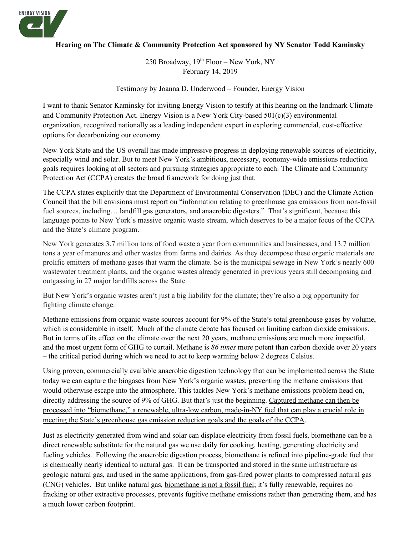

### **Hearing on The Climate & Community Protection Act sponsored by NY Senator Todd Kaminsky**

250 Broadway,  $19<sup>th</sup>$  Floor – New York, NY February 14, 2019

Testimony by Joanna D. Underwood – Founder, Energy Vision

I want to thank Senator Kaminsky for inviting Energy Vision to testify at this hearing on the landmark Climate and Community Protection Act. Energy Vision is a New York City-based 501(c)(3) environmental organization, recognized nationally as a leading independent expert in exploring commercial, cost-effective options for decarbonizing our economy.

New York State and the US overall has made impressive progress in deploying renewable sources of electricity, especially wind and solar. But to meet New York's ambitious, necessary, economy-wide emissions reduction goals requires looking at all sectors and pursuing strategies appropriate to each. The Climate and Community Protection Act (CCPA) creates the broad framework for doing just that.

The CCPA states explicitly that the Department of Environmental Conservation (DEC) and the Climate Action Council that the bill envisions must report on "information relating to greenhouse gas emissions from non-fossil fuel sources, including... landfill gas generators, and anaerobic digesters." That's significant, because this language points to New York's massive organic waste stream, which deserves to be a major focus of the CCPA and the State's climate program.

New York generates 3.7 million tons of food waste a year from communities and businesses, and 13.7 million tons a year of manures and other wastes from farms and dairies. As they decompose these organic materials are prolific emitters of methane gases that warm the climate. So is the municipal sewage in New York's nearly 600 wastewater treatment plants, and the organic wastes already generated in previous years still decomposing and outgassing in 27 major landfills across the State.

But New York's organic wastes aren't just a big liability for the climate; they're also a big opportunity for fighting climate change.

Methane emissions from organic waste sources account for 9% of the State's total greenhouse gases by volume, which is considerable in itself. Much of the climate debate has focused on limiting carbon dioxide emissions. But in terms of its effect on the climate over the next 20 years, methane emissions are much more impactful, and the most urgent form of GHG to curtail. Methane is *86 times* more potent than carbon dioxide over 20 years – the critical period during which we need to act to keep warming below 2 degrees Celsius.

Using proven, commercially available anaerobic digestion technology that can be implemented across the State today we can capture the biogases from New York's organic wastes, preventing the methane emissions that would otherwise escape into the atmosphere. This tackles New York's methane emissions problem head on, directly addressing the source of 9% of GHG. But that's just the beginning. Captured methane can then be processed into "biomethane," a renewable, ultra-low carbon, made-in-NY fuel that can play a crucial role in meeting the State's greenhouse gas emission reduction goals and the goals of the CCPA.

Just as electricity generated from wind and solar can displace electricity from fossil fuels, biomethane can be a direct renewable substitute for the natural gas we use daily for cooking, heating, generating electricity and fueling vehicles. Following the anaerobic digestion process, biomethane is refined into pipeline-grade fuel that is chemically nearly identical to natural gas. It can be transported and stored in the same infrastructure as geologic natural gas, and used in the same applications, from gas-fired power plants to compressed natural gas (CNG) vehicles. But unlike natural gas, biomethane is not a fossil fuel; it's fully renewable, requires no fracking or other extractive processes, prevents fugitive methane emissions rather than generating them, and has a much lower carbon footprint.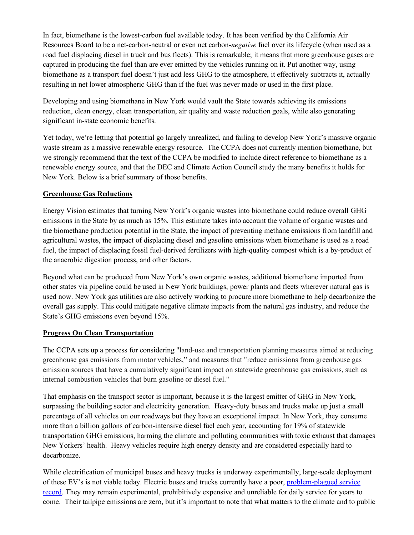In fact, biomethane is the lowest-carbon fuel available today. It has been verified by the California Air Resources Board to be a net-carbon-neutral or even net carbon-*negative* fuel over its lifecycle (when used as a road fuel displacing diesel in truck and bus fleets). This is remarkable; it means that more greenhouse gases are captured in producing the fuel than are ever emitted by the vehicles running on it. Put another way, using biomethane as a transport fuel doesn't just add less GHG to the atmosphere, it effectively subtracts it, actually resulting in net lower atmospheric GHG than if the fuel was never made or used in the first place.

Developing and using biomethane in New York would vault the State towards achieving its emissions reduction, clean energy, clean transportation, air quality and waste reduction goals, while also generating significant in-state economic benefits.

Yet today, we're letting that potential go largely unrealized, and failing to develop New York's massive organic waste stream as a massive renewable energy resource. The CCPA does not currently mention biomethane, but we strongly recommend that the text of the CCPA be modified to include direct reference to biomethane as a renewable energy source, and that the DEC and Climate Action Council study the many benefits it holds for New York. Below is a brief summary of those benefits.

### **Greenhouse Gas Reductions**

Energy Vision estimates that turning New York's organic wastes into biomethane could reduce overall GHG emissions in the State by as much as 15%. This estimate takes into account the volume of organic wastes and the biomethane production potential in the State, the impact of preventing methane emissions from landfill and agricultural wastes, the impact of displacing diesel and gasoline emissions when biomethane is used as a road fuel, the impact of displacing fossil fuel-derived fertilizers with high-quality compost which is a by-product of the anaerobic digestion process, and other factors.

Beyond what can be produced from New York's own organic wastes, additional biomethane imported from other states via pipeline could be used in New York buildings, power plants and fleets wherever natural gas is used now. New York gas utilities are also actively working to procure more biomethane to help decarbonize the overall gas supply. This could mitigate negative climate impacts from the natural gas industry, and reduce the State's GHG emissions even beyond 15%.

### **Progress On Clean Transportation**

The CCPA sets up a process for considering "land-use and transportation planning measures aimed at reducing greenhouse gas emissions from motor vehicles," and measures that "reduce emissions from greenhouse gas emission sources that have a cumulatively significant impact on statewide greenhouse gas emissions, such as internal combustion vehicles that burn gasoline or diesel fuel."

That emphasis on the transport sector is important, because it is the largest emitter of GHG in New York, surpassing the building sector and electricity generation. Heavy-duty buses and trucks make up just a small percentage of all vehicles on our roadways but they have an exceptional impact. In New York, they consume more than a billion gallons of carbon-intensive diesel fuel each year, accounting for 19% of statewide transportation GHG emissions, harming the climate and polluting communities with toxic exhaust that damages New Yorkers' health. Heavy vehicles require high energy density and are considered especially hard to decarbonize.

While electrification of municipal buses and heavy trucks is underway experimentally, large-scale deployment of these EV's is not viable today. Electric buses and trucks currently have a poor, [problem-plagued service](https://www.latimes.com/local/lanow/la-me-electric-buses-20180520-story.html)  [record](https://www.latimes.com/local/lanow/la-me-electric-buses-20180520-story.html). They may remain experimental, prohibitively expensive and unreliable for daily service for years to come. Their tailpipe emissions are zero, but it's important to note that what matters to the climate and to public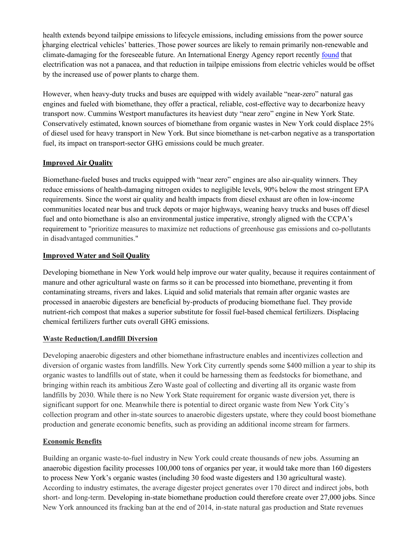health extends beyond tailpipe emissions to lifecycle emissions, including emissions from the power source charging electrical vehicles' batteries. Those power sources are likely to remain primarily non-renewable and climate-damaging for the foreseeable future. An International Energy Agency report recently [found](https://www.bloomberg.com/news/articles/2018-11-13/electrifying-the-world-no-panacea-for-global-warming-iea-says) that electrification was not a panacea, and that reduction in tailpipe emissions from electric vehicles would be offset by the increased use of power plants to charge them.

However, when heavy-duty trucks and buses are equipped with widely available "near-zero" natural gas engines and fueled with biomethane, they offer a practical, reliable, cost-effective way to decarbonize heavy transport now. Cummins Westport manufactures its heaviest duty "near zero" engine in New York State. Conservatively estimated, known sources of biomethane from organic wastes in New York could displace 25% of diesel used for heavy transport in New York. But since biomethane is net-carbon negative as a transportation fuel, its impact on transport-sector GHG emissions could be much greater.

### **Improved Air Quality**

Biomethane-fueled buses and trucks equipped with "near zero" engines are also air-quality winners. They reduce emissions of health-damaging nitrogen oxides to negligible levels, 90% below the most stringent EPA requirements. Since the worst air quality and health impacts from diesel exhaust are often in low-income communities located near bus and truck depots or major highways, weaning heavy trucks and buses off diesel fuel and onto biomethane is also an environmental justice imperative, strongly aligned with the CCPA's requirement to "prioritize measures to maximize net reductions of greenhouse gas emissions and co-pollutants in disadvantaged communities."

### **Improved Water and Soil Quality**

Developing biomethane in New York would help improve our water quality, because it requires containment of manure and other agricultural waste on farms so it can be processed into biomethane, preventing it from contaminating streams, rivers and lakes. Liquid and solid materials that remain after organic wastes are processed in anaerobic digesters are beneficial by-products of producing biomethane fuel. They provide nutrient-rich compost that makes a superior substitute for fossil fuel-based chemical fertilizers. Displacing chemical fertilizers further cuts overall GHG emissions.

# **Waste Reduction**/**Landfill Diversion**

Developing anaerobic digesters and other biomethane infrastructure enables and incentivizes collection and diversion of organic wastes from landfills. New York City currently spends some \$400 million a year to ship its organic wastes to landfills out of state, when it could be harnessing them as feedstocks for biomethane, and bringing within reach its ambitious Zero Waste goal of collecting and diverting all its organic waste from landfills by 2030. While there is no New York State requirement for organic waste diversion yet, there is significant support for one. Meanwhile there is potential to direct organic waste from New York City's collection program and other in-state sources to anaerobic digesters upstate, where they could boost biomethane production and generate economic benefits, such as providing an additional income stream for farmers.

# **Economic Benefits**

Building an organic waste-to-fuel industry in New York could create thousands of new jobs. Assuming an anaerobic digestion facility processes 100,000 tons of organics per year, it would take more than 160 digesters to process New York's organic wastes (including 30 food waste digesters and 130 agricultural waste). According to industry estimates, the average digester project generates over 170 direct and indirect jobs, both short- and long-term. Developing in-state biomethane production could therefore create over 27,000 jobs. Since New York announced its fracking ban at the end of 2014, in-state natural gas production and State revenues